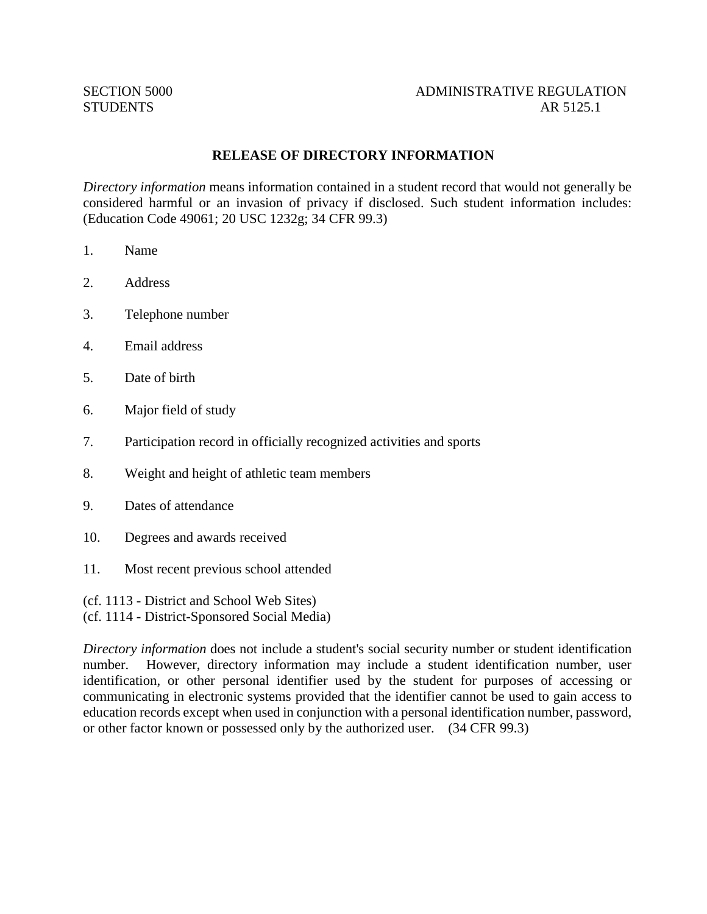### SECTION 5000 ADMINISTRATIVE REGULATION STUDENTS AR 5125.1

# **RELEASE OF DIRECTORY INFORMATION**

*Directory information* means information contained in a student record that would not generally be considered harmful or an invasion of privacy if disclosed. Such student information includes: (Education Code 49061; 20 USC 1232g; 34 CFR 99.3)

- 1. Name
- 2. Address
- 3. Telephone number
- 4. Email address
- 5. Date of birth
- 6. Major field of study
- 7. Participation record in officially recognized activities and sports
- 8. Weight and height of athletic team members
- 9. Dates of attendance
- 10. Degrees and awards received
- 11. Most recent previous school attended
- (cf. 1113 District and School Web Sites)
- (cf. 1114 District-Sponsored Social Media)

*Directory information* does not include a student's social security number or student identification number. However, directory information may include a student identification number, user identification, or other personal identifier used by the student for purposes of accessing or communicating in electronic systems provided that the identifier cannot be used to gain access to education records except when used in conjunction with a personal identification number, password, or other factor known or possessed only by the authorized user. (34 CFR 99.3)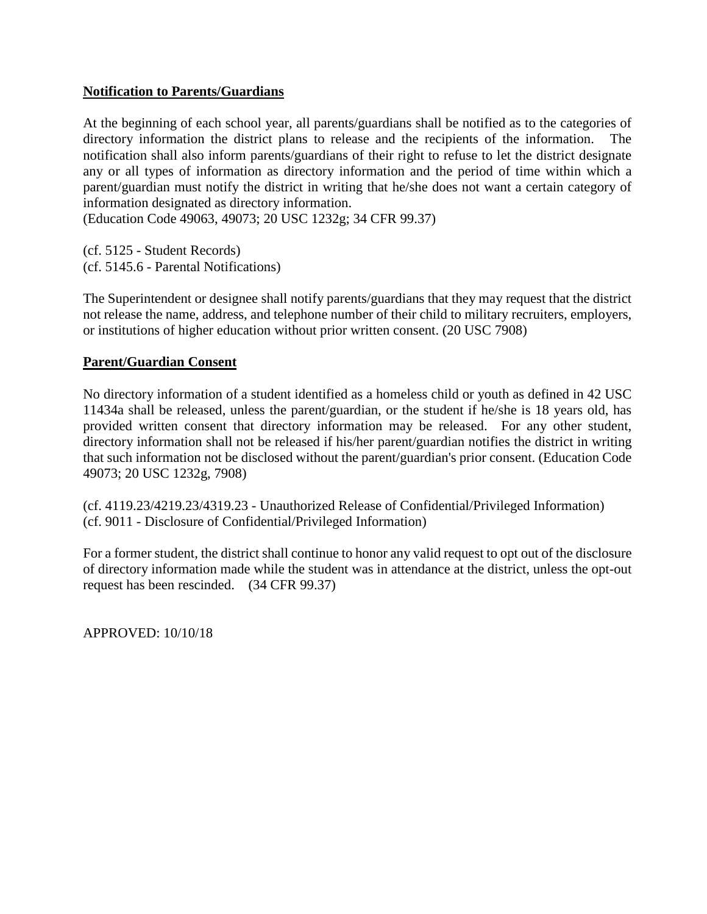# **Notification to Parents/Guardians**

At the beginning of each school year, all parents/guardians shall be notified as to the categories of directory information the district plans to release and the recipients of the information. The notification shall also inform parents/guardians of their right to refuse to let the district designate any or all types of information as directory information and the period of time within which a parent/guardian must notify the district in writing that he/she does not want a certain category of information designated as directory information.

(Education Code 49063, 49073; 20 USC 1232g; 34 CFR 99.37)

(cf. 5125 - Student Records) (cf. 5145.6 - Parental Notifications)

The Superintendent or designee shall notify parents/guardians that they may request that the district not release the name, address, and telephone number of their child to military recruiters, employers, or institutions of higher education without prior written consent. (20 USC 7908)

### **Parent/Guardian Consent**

No directory information of a student identified as a homeless child or youth as defined in 42 USC 11434a shall be released, unless the parent/guardian, or the student if he/she is 18 years old, has provided written consent that directory information may be released. For any other student, directory information shall not be released if his/her parent/guardian notifies the district in writing that such information not be disclosed without the parent/guardian's prior consent. (Education Code 49073; 20 USC 1232g, 7908)

(cf. 4119.23/4219.23/4319.23 - Unauthorized Release of Confidential/Privileged Information) (cf. 9011 - Disclosure of Confidential/Privileged Information)

For a former student, the district shall continue to honor any valid request to opt out of the disclosure of directory information made while the student was in attendance at the district, unless the opt-out request has been rescinded. (34 CFR 99.37)

APPROVED: 10/10/18